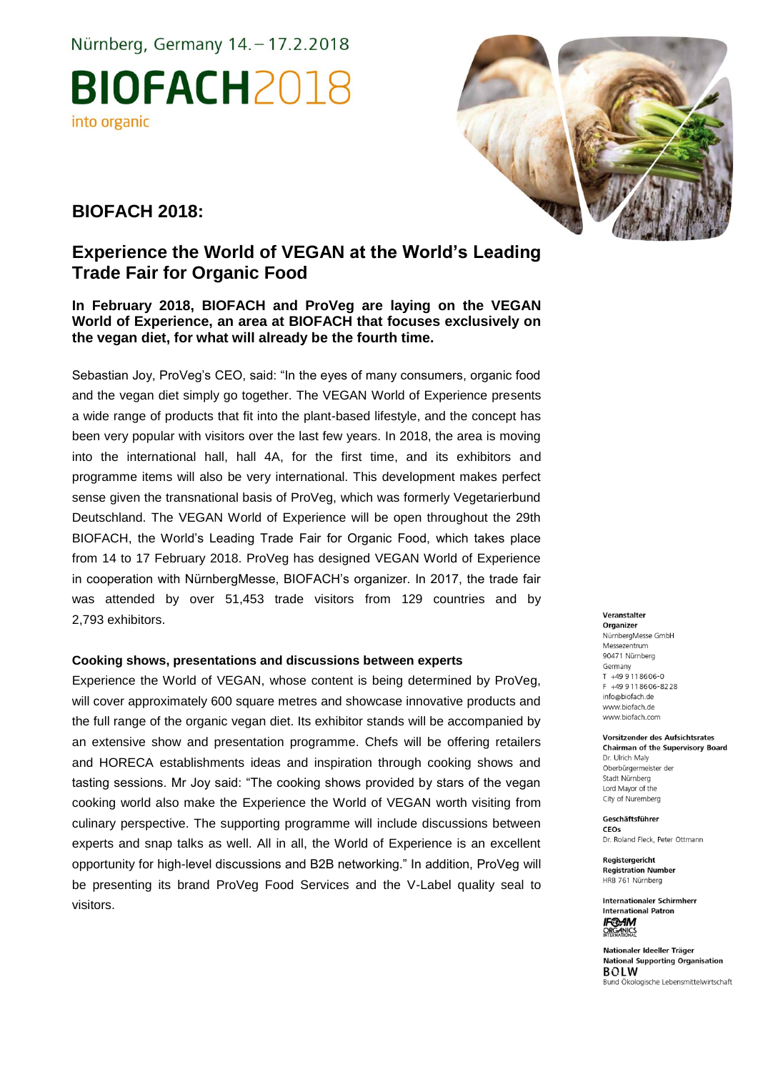Nürnberg, Germany 14. - 17.2.2018

**BIOFACH2018** into organic



## **BIOFACH 2018:**

# **Experience the World of VEGAN at the World's Leading Trade Fair for Organic Food**

## **In February 2018, BIOFACH and ProVeg are laying on the VEGAN World of Experience, an area at BIOFACH that focuses exclusively on the vegan diet, for what will already be the fourth time.**

Sebastian Joy, ProVeg's CEO, said: "In the eyes of many consumers, organic food and the vegan diet simply go together. The VEGAN World of Experience presents a wide range of products that fit into the plant-based lifestyle, and the concept has been very popular with visitors over the last few years. In 2018, the area is moving into the international hall, hall 4A, for the first time, and its exhibitors and programme items will also be very international. This development makes perfect sense given the transnational basis of ProVeg, which was formerly Vegetarierbund Deutschland. The VEGAN World of Experience will be open throughout the 29th BIOFACH, the World's Leading Trade Fair for Organic Food, which takes place from 14 to 17 February 2018. ProVeg has designed VEGAN World of Experience in cooperation with NürnbergMesse, BIOFACH's organizer. In 2017, the trade fair was attended by over 51,453 trade visitors from 129 countries and by 2,793 exhibitors.

## **Cooking shows, presentations and discussions between experts**

Experience the World of VEGAN, whose content is being determined by ProVeg, will cover approximately 600 square metres and showcase innovative products and the full range of the organic vegan diet. Its exhibitor stands will be accompanied by an extensive show and presentation programme. Chefs will be offering retailers and HORECA establishments ideas and inspiration through cooking shows and tasting sessions. Mr Joy said: "The cooking shows provided by stars of the vegan cooking world also make the Experience the World of VEGAN worth visiting from culinary perspective. The supporting programme will include discussions between experts and snap talks as well. All in all, the World of Experience is an excellent opportunity for high-level discussions and B2B networking." In addition, ProVeg will be presenting its brand ProVeg Food Services and the V-Label quality seal to visitors.

#### Veranstalter

Organizer NürnbergMesse GmbH Messezentrum 90471 Nürnberg Germany  $T + 499118606 - 0$ F +49 9 11 86 06 - 82 28 info@biofach.de www.biofach.de www.biofach.com

#### Vorsitzender des Aufsichtsrates **Chairman of the Supervisory Board** Dr. Ulrich Maly

Oberbürgermeister de Stadt Nürnberg Lord Mayor of the City of Nuremberg

Geschäftsführer CEOs Dr. Roland Fleck, Peter Ottmann

Registergericht **Registration Number** HRB 761 Nürnberg

**Internationaler Schirmherr International Patron IF®AM**<br>ORGANICS

Nationaler Ideeller Träger **National Supporting Organisation BOLW** Bund Ökologische Lebensmittelwirtschaft